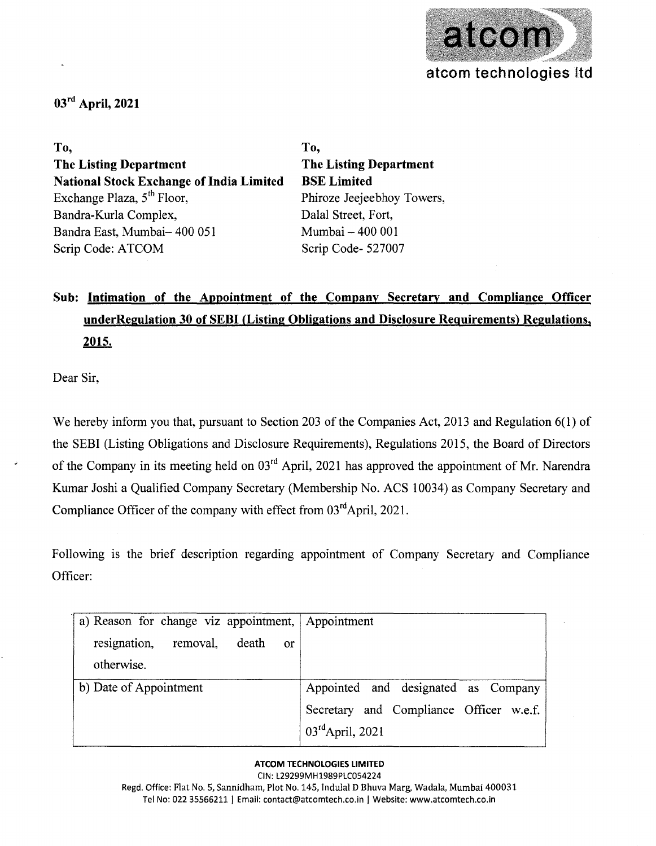

## **03rd April, 2021**

**To, The Listing Department National Stock Exchange of India Limited**  Exchange Plaza,  $5<sup>th</sup>$  Floor, Bandra-Kurla Complex, Bandra East, Mumbai- 400 051 Scrip Code: ATCOM

**To, The Listing Department BSE Limited**  Phiroze Jeejeebhoy Towers, Dalal Street, Fort, Mumbai - 400 001 Scrip Code- 527007

# **Sub: Intimation of the Appointment of the Company Secretary and Compliance Officer underRegulation 30 of SEBI (Listing Obligations and Disclosure Requirements) Regulations, 2015.**

Dear Sir,

We hereby inform you that, pursuant to Section 203 of the Companies Act, 2013 and Regulation 6(1) of the SEBI (Listing Obligations and Disclosure Requirements), Regulations 2015, the Board of Directors of the Company in its meeting held on 03<sup>rd</sup> April, 2021 has approved the appointment of Mr. Narendra Kumar Joshi a Qualified Company Secretary (Membership No. ACS 10034) as Company Secretary and Compliance Officer of the company with effect from  $03<sup>rd</sup>$ April, 2021.

Following is the brief description regarding appointment of Company Secretary and Compliance Officer:

| a) Reason for change viz appointment, Appointment |                                         |
|---------------------------------------------------|-----------------------------------------|
| resignation,<br>removal, death<br><sub>or</sub>   |                                         |
| otherwise.                                        |                                         |
| b) Date of Appointment                            | Appointed and designated as Company     |
|                                                   | Secretary and Compliance Officer w.e.f. |
|                                                   | $03^{\text{rd}}$ April, 2021            |

### **ATCOM TECHNOLOGIES LIMITED**

CIN: L29299MH1989PLC054224 Regd. Office: Flat No.5, Sannidham, Plot No. 145, Indulal D Bhuva Marg, Wadala, Mumbai 400031 Tel No: 022 35566211 | Email: contact@atcomtech.co.in | Website: www.atcomtech.co.in